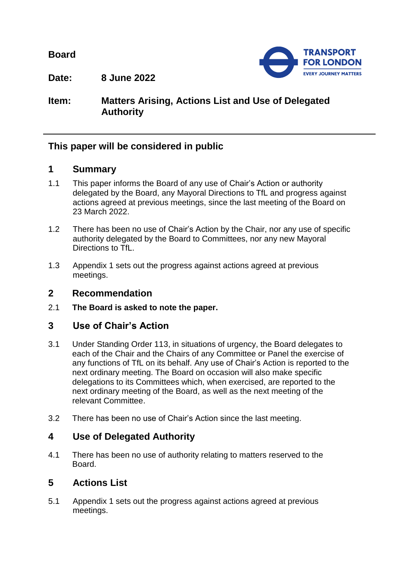**Board**



**Date: 8 June 2022**

# **Item: Matters Arising, Actions List and Use of Delegated Authority**

## **This paper will be considered in public**

### **1 Summary**

- 1.1 This paper informs the Board of any use of Chair's Action or authority delegated by the Board, any Mayoral Directions to TfL and progress against actions agreed at previous meetings, since the last meeting of the Board on 23 March 2022.
- 1.2 There has been no use of Chair's Action by the Chair, nor any use of specific authority delegated by the Board to Committees, nor any new Mayoral Directions to TfL.
- 1.3 Appendix 1 sets out the progress against actions agreed at previous meetings.

#### **2 Recommendation**

2.1 **The Board is asked to note the paper.**

### **3 Use of Chair's Action**

- 3.1 Under Standing Order 113, in situations of urgency, the Board delegates to each of the Chair and the Chairs of any Committee or Panel the exercise of any functions of TfL on its behalf. Any use of Chair's Action is reported to the next ordinary meeting. The Board on occasion will also make specific delegations to its Committees which, when exercised, are reported to the next ordinary meeting of the Board, as well as the next meeting of the relevant Committee.
- 3.2 There has been no use of Chair's Action since the last meeting.

### **4 Use of Delegated Authority**

4.1 There has been no use of authority relating to matters reserved to the Board.

### **5 Actions List**

5.1 Appendix 1 sets out the progress against actions agreed at previous meetings.